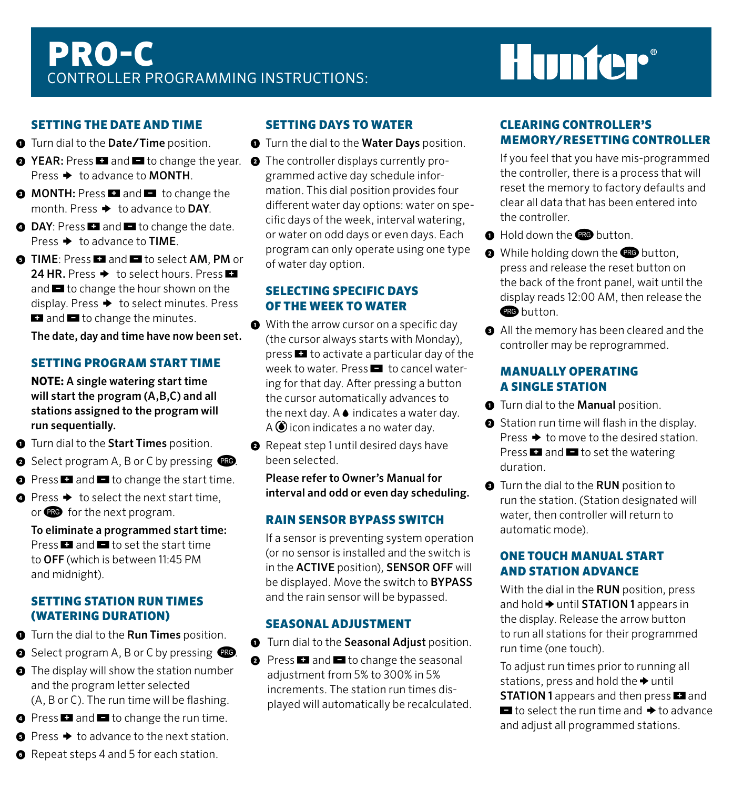## Pro-C Controller Programming Instructions:

# **Hunter®**

#### Setting the Date and Time

- **①** Turn dial to the Date/Time position.
- **② YEAR:** Press **1** and **I** to change the year. ② The controller displays currently pro-Press  $\rightarrow$  to advance to **MONTH**.
- $\bullet$  MONTH: Press **E** and **E** to change the month. Press  $\rightarrow$  to advance to DAY.
- **A DAY:** Press **D** and **D** to change the date. Press  $\rightarrow$  to advance to TIME.
- **O** TIME: Press **E** and **E** to select AM, PM or 24 HR. Press  $\rightarrow$  to select hours. Press  $\blacksquare$ and  $\blacksquare$  to change the hour shown on the display. Press  $\rightarrow$  to select minutes. Press  $\blacksquare$  and  $\blacksquare$  to change the minutes.

The date, day and time have now been set.

#### Setting Program Start Time

**NOTE:** A single watering start time will start the program (A,B,C) and all stations assigned to the program will run sequentially.

- **①** Turn dial to the Start Times position.
- **O** Select program A, B or C by pressing  $\blacksquare$
- **O** Press **D** and **D** to change the start time.
- **●** Press ◆ to select the next start time, or **PRO** for the next program.

 To eliminate a programmed start time: Press  $\Box$  and  $\Box$  to set the start time to OFF (which is between 11:45 PM and midnight).

#### Setting Station Run Times (watering duration)

- **①** Turn the dial to the Run Times position.
- **O** Select program A, B or C by pressing  $\blacksquare$
- **③** The display will show the station number and the program letter selected (A, B or C). The run time will be flashing.
- **O** Press **D** and **D** to change the run time.
- **⑤** Press i to advance to the next station.

**②** Repeat step 1 until desired days have been selected. Please refer to Owner's Manual for interval and odd or even day scheduling.

### Rain Sensor Bypass Switch

Setting Days to Water **①** Turn the dial to the Water Days position.

of water day option.

 Selecting specific days of the week to water **①** With the arrow cursor on a specific day (the cursor always starts with Monday),  $pres \nightharpoonup t$  to activate a particular day of the week to water. Press **a** to cancel watering for that day. After pressing a button the cursor automatically advances to the next day.  $A \bullet$  indicates a water day.  $A \bigcirc$  icon indicates a no water day.

grammed active day schedule information. This dial position provides four different water day options: water on specific days of the week, interval watering, or water on odd days or even days. Each program can only operate using one type

 If a sensor is preventing system operation (or no sensor is installed and the switch is in the ACTIVE position), SENSOR OFF will be displayed. Move the switch to BYPASS and the rain sensor will be bypassed.

### Seasonal Adjustment

**①** Turn dial to the Seasonal Adjust position.

**O** Press **a** and **a** to change the seasonal adiustment from 5% to 300% in 5% increments. The station run times displayed will automatically be recalculated.

#### Clearing Controller's Memory/Resetting Controller

 If you feel that you have mis-programmed the controller, there is a process that will reset the memory to factory defaults and clear all data that has been entered into the controller.

- **O** Hold down the **RO** button.
- **<sup>2</sup>** While holding down the **R** button, press and release the reset button on the back of the front panel, wait until the display reads 12:00 AM, then release the **RO** button
- **③** All the memory has been cleared and the controller may be reprogrammed.

#### Manually Operating a Single Station

- **①** Turn dial to the Manual position.
- **②** Station run time will flash in the display. Press  $\rightarrow$  to move to the desired station. Press  $\blacksquare$  and  $\blacksquare$  to set the watering duration.
- **③** Turn the dial to the RUN position to run the station. (Station designated will water, then controller will return to automatic mode).

### One Touch Manual Start and Station Advance

With the dial in the RUN position, press and hold  $\rightarrow$  until STATION 1 appears in the display. Release the arrow button to run all stations for their programmed run time (one touch).

 To adjust run times prior to running all stations, press and hold the  $\blacktriangleright$  until **STATION 1** appears and then press **E** and  $\blacksquare$  to select the run time and  $\blacktriangleright$  to advance and adjust all programmed stations.

**➏** Repeat steps 4 and 5 for each station.